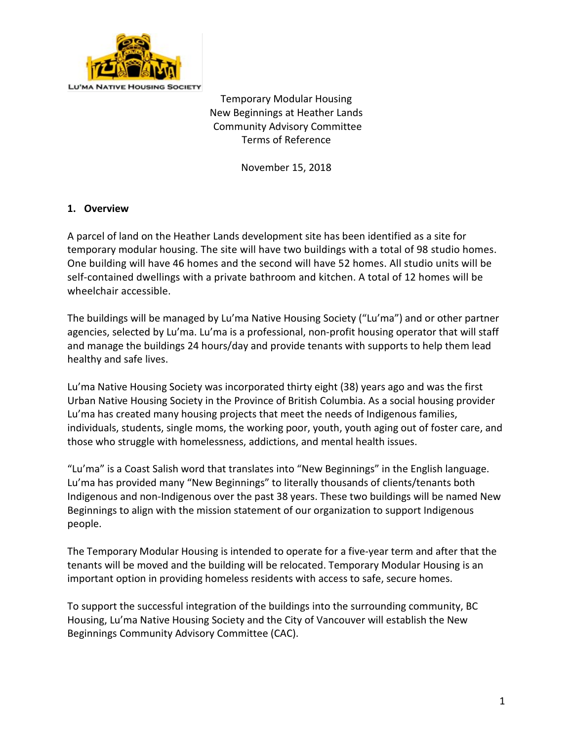

Temporary Modular Housing New Beginnings at Heather Lands Community Advisory Committee Terms of Reference

November 15, 2018

### **1. Overview**

A parcel of land on the Heather Lands development site has been identified as a site for temporary modular housing. The site will have two buildings with a total of 98 studio homes. One building will have 46 homes and the second will have 52 homes. All studio units will be self-contained dwellings with a private bathroom and kitchen. A total of 12 homes will be wheelchair accessible.

The buildings will be managed by Lu'ma Native Housing Society ("Lu'ma") and or other partner agencies, selected by Lu'ma. Lu'ma is a professional, non-profit housing operator that will staff and manage the buildings 24 hours/day and provide tenants with supports to help them lead healthy and safe lives.

Lu'ma Native Housing Society was incorporated thirty eight (38) years ago and was the first Urban Native Housing Society in the Province of British Columbia. As a social housing provider Lu'ma has created many housing projects that meet the needs of Indigenous families, individuals, students, single moms, the working poor, youth, youth aging out of foster care, and those who struggle with homelessness, addictions, and mental health issues.

"Lu'ma" is a Coast Salish word that translates into "New Beginnings" in the English language. Lu'ma has provided many "New Beginnings" to literally thousands of clients/tenants both Indigenous and non-Indigenous over the past 38 years. These two buildings will be named New Beginnings to align with the mission statement of our organization to support Indigenous people.

The Temporary Modular Housing is intended to operate for a five-year term and after that the tenants will be moved and the building will be relocated. Temporary Modular Housing is an important option in providing homeless residents with access to safe, secure homes.

To support the successful integration of the buildings into the surrounding community, BC Housing, Lu'ma Native Housing Society and the City of Vancouver will establish the New Beginnings Community Advisory Committee (CAC).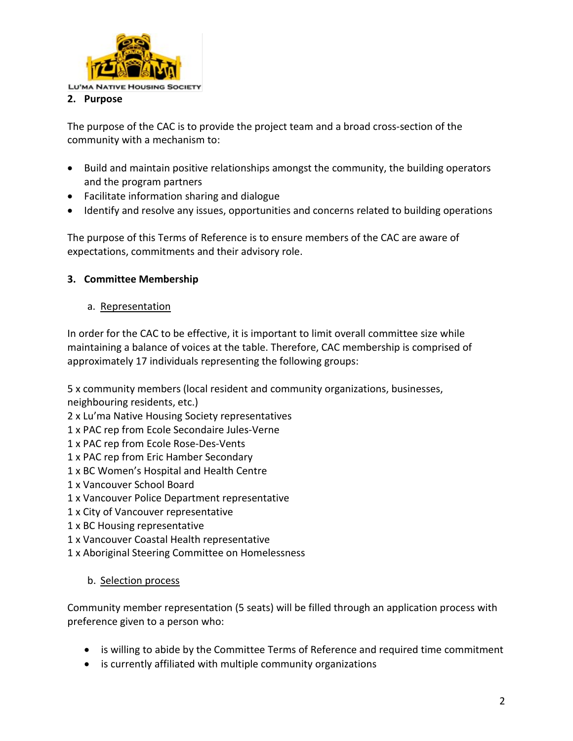

The purpose of the CAC is to provide the project team and a broad cross-section of the community with a mechanism to:

- Build and maintain positive relationships amongst the community, the building operators and the program partners
- Facilitate information sharing and dialogue
- Identify and resolve any issues, opportunities and concerns related to building operations

The purpose of this Terms of Reference is to ensure members of the CAC are aware of expectations, commitments and their advisory role.

# **3. Committee Membership**

### a. Representation

In order for the CAC to be effective, it is important to limit overall committee size while maintaining a balance of voices at the table. Therefore, CAC membership is comprised of approximately 17 individuals representing the following groups:

5 x community members (local resident and community organizations, businesses,

neighbouring residents, etc.)

2 x Lu'ma Native Housing Society representatives

1 x PAC rep from Ecole Secondaire Jules-Verne

1 x PAC rep from Ecole Rose-Des-Vents

1 x PAC rep from Eric Hamber Secondary

- 1 x BC Women's Hospital and Health Centre
- 1 x Vancouver School Board
- 1 x Vancouver Police Department representative
- 1 x City of Vancouver representative
- 1 x BC Housing representative
- 1 x Vancouver Coastal Health representative
- 1 x Aboriginal Steering Committee on Homelessness

# b. Selection process

Community member representation (5 seats) will be filled through an application process with preference given to a person who:

- is willing to abide by the Committee Terms of Reference and required time commitment
- is currently affiliated with multiple community organizations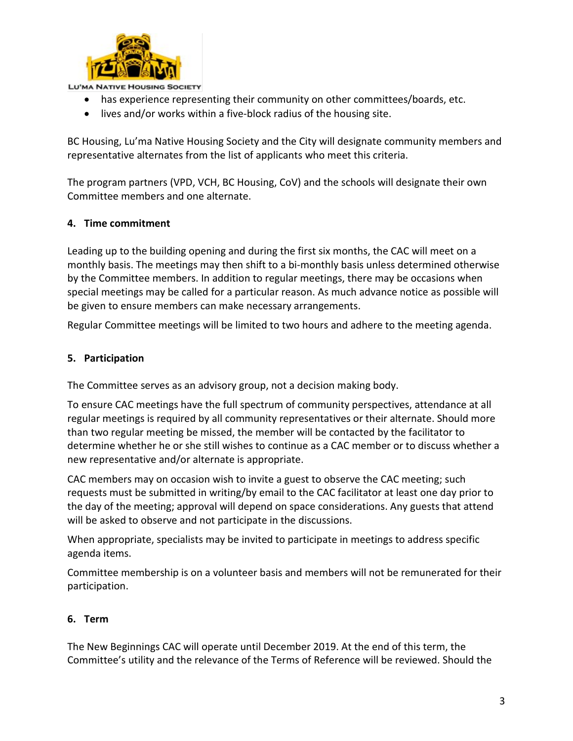

**LU'MA NATIVE HOUSING SOCIETY** 

- has experience representing their community on other committees/boards, etc.
- lives and/or works within a five-block radius of the housing site.

BC Housing, Lu'ma Native Housing Society and the City will designate community members and representative alternates from the list of applicants who meet this criteria.

The program partners (VPD, VCH, BC Housing, CoV) and the schools will designate their own Committee members and one alternate.

### **4. Time commitment**

Leading up to the building opening and during the first six months, the CAC will meet on a monthly basis. The meetings may then shift to a bi-monthly basis unless determined otherwise by the Committee members. In addition to regular meetings, there may be occasions when special meetings may be called for a particular reason. As much advance notice as possible will be given to ensure members can make necessary arrangements.

Regular Committee meetings will be limited to two hours and adhere to the meeting agenda.

### **5. Participation**

The Committee serves as an advisory group, not a decision making body.

To ensure CAC meetings have the full spectrum of community perspectives, attendance at all regular meetings is required by all community representatives or their alternate. Should more than two regular meeting be missed, the member will be contacted by the facilitator to determine whether he or she still wishes to continue as a CAC member or to discuss whether a new representative and/or alternate is appropriate.

CAC members may on occasion wish to invite a guest to observe the CAC meeting; such requests must be submitted in writing/by email to the CAC facilitator at least one day prior to the day of the meeting; approval will depend on space considerations. Any guests that attend will be asked to observe and not participate in the discussions.

When appropriate, specialists may be invited to participate in meetings to address specific agenda items.

Committee membership is on a volunteer basis and members will not be remunerated for their participation.

#### **6. Term**

The New Beginnings CAC will operate until December 2019. At the end of this term, the Committee's utility and the relevance of the Terms of Reference will be reviewed. Should the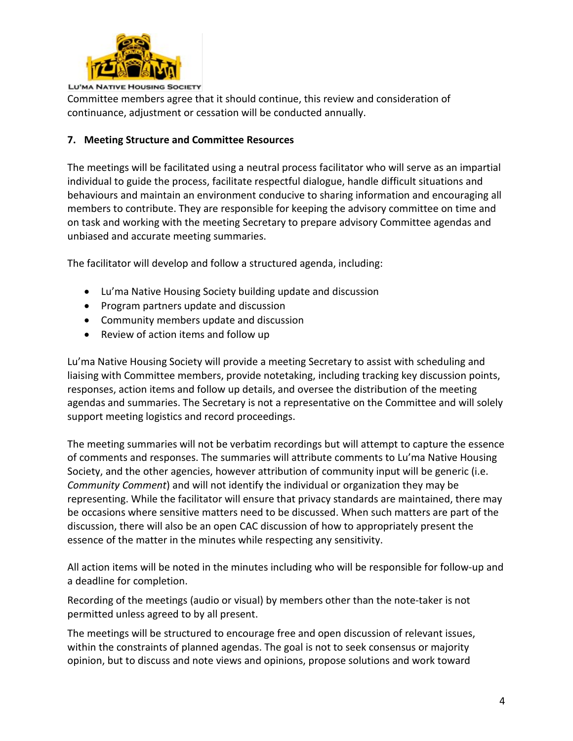

Committee members agree that it should continue, this review and consideration of continuance, adjustment or cessation will be conducted annually.

# **7. Meeting Structure and Committee Resources**

The meetings will be facilitated using a neutral process facilitator who will serve as an impartial individual to guide the process, facilitate respectful dialogue, handle difficult situations and behaviours and maintain an environment conducive to sharing information and encouraging all members to contribute. They are responsible for keeping the advisory committee on time and on task and working with the meeting Secretary to prepare advisory Committee agendas and unbiased and accurate meeting summaries.

The facilitator will develop and follow a structured agenda, including:

- Lu'ma Native Housing Society building update and discussion
- Program partners update and discussion
- Community members update and discussion
- Review of action items and follow up

Lu'ma Native Housing Society will provide a meeting Secretary to assist with scheduling and liaising with Committee members, provide notetaking, including tracking key discussion points, responses, action items and follow up details, and oversee the distribution of the meeting agendas and summaries. The Secretary is not a representative on the Committee and will solely support meeting logistics and record proceedings.

The meeting summaries will not be verbatim recordings but will attempt to capture the essence of comments and responses. The summaries will attribute comments to Lu'ma Native Housing Society, and the other agencies, however attribution of community input will be generic (i.e. *Community Comment*) and will not identify the individual or organization they may be representing. While the facilitator will ensure that privacy standards are maintained, there may be occasions where sensitive matters need to be discussed. When such matters are part of the discussion, there will also be an open CAC discussion of how to appropriately present the essence of the matter in the minutes while respecting any sensitivity.

All action items will be noted in the minutes including who will be responsible for follow-up and a deadline for completion.

Recording of the meetings (audio or visual) by members other than the note-taker is not permitted unless agreed to by all present.

The meetings will be structured to encourage free and open discussion of relevant issues, within the constraints of planned agendas. The goal is not to seek consensus or majority opinion, but to discuss and note views and opinions, propose solutions and work toward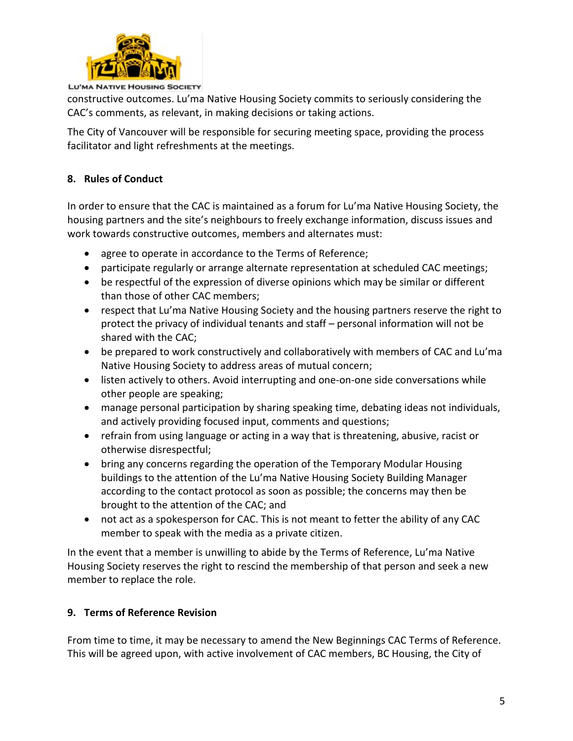

**LU'MA NATIVE HOUSING SOCIETY** 

constructive outcomes. Lu'ma Native Housing Society commits to seriously considering the CAC's comments, as relevant, in making decisions or taking actions.

The City of Vancouver will be responsible for securing meeting space, providing the process facilitator and light refreshments at the meetings.

# **8. Rules of Conduct**

In order to ensure that the CAC is maintained as a forum for Lu'ma Native Housing Society, the housing partners and the site's neighbours to freely exchange information, discuss issues and work towards constructive outcomes, members and alternates must:

- agree to operate in accordance to the Terms of Reference;
- participate regularly or arrange alternate representation at scheduled CAC meetings;
- be respectful of the expression of diverse opinions which may be similar or different than those of other CAC members;
- respect that Lu'ma Native Housing Society and the housing partners reserve the right to protect the privacy of individual tenants and staff – personal information will not be shared with the CAC;
- be prepared to work constructively and collaboratively with members of CAC and Lu'ma Native Housing Society to address areas of mutual concern;
- listen actively to others. Avoid interrupting and one-on-one side conversations while other people are speaking;
- manage personal participation by sharing speaking time, debating ideas not individuals, and actively providing focused input, comments and questions;
- refrain from using language or acting in a way that is threatening, abusive, racist or otherwise disrespectful;
- bring any concerns regarding the operation of the Temporary Modular Housing buildings to the attention of the Lu'ma Native Housing Society Building Manager according to the contact protocol as soon as possible; the concerns may then be brought to the attention of the CAC; and
- not act as a spokesperson for CAC. This is not meant to fetter the ability of any CAC member to speak with the media as a private citizen.

In the event that a member is unwilling to abide by the Terms of Reference, Lu'ma Native Housing Society reserves the right to rescind the membership of that person and seek a new member to replace the role.

# **9. Terms of Reference Revision**

From time to time, it may be necessary to amend the New Beginnings CAC Terms of Reference. This will be agreed upon, with active involvement of CAC members, BC Housing, the City of